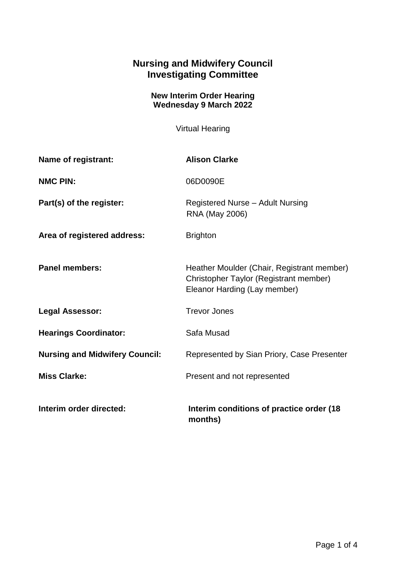## **Nursing and Midwifery Council Investigating Committee**

## **New Interim Order Hearing Wednesday 9 March 2022**

Virtual Hearing

| Name of registrant:                   | <b>Alison Clarke</b>                                                                                                 |
|---------------------------------------|----------------------------------------------------------------------------------------------------------------------|
| <b>NMC PIN:</b>                       | 06D0090E                                                                                                             |
| Part(s) of the register:              | Registered Nurse - Adult Nursing<br>RNA (May 2006)                                                                   |
| Area of registered address:           | <b>Brighton</b>                                                                                                      |
| <b>Panel members:</b>                 | Heather Moulder (Chair, Registrant member)<br>Christopher Taylor (Registrant member)<br>Eleanor Harding (Lay member) |
| <b>Legal Assessor:</b>                | <b>Trevor Jones</b>                                                                                                  |
| <b>Hearings Coordinator:</b>          | Safa Musad                                                                                                           |
| <b>Nursing and Midwifery Council:</b> | Represented by Sian Priory, Case Presenter                                                                           |
| <b>Miss Clarke:</b>                   | Present and not represented                                                                                          |
| Interim order directed:               | Interim conditions of practice order (18<br>months)                                                                  |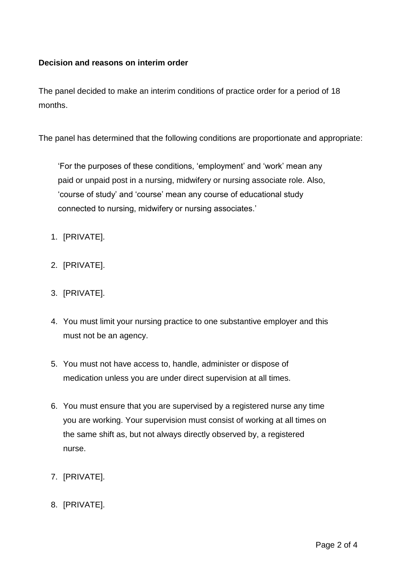## **Decision and reasons on interim order**

The panel decided to make an interim conditions of practice order for a period of 18 months.

The panel has determined that the following conditions are proportionate and appropriate:

'For the purposes of these conditions, 'employment' and 'work' mean any paid or unpaid post in a nursing, midwifery or nursing associate role. Also, 'course of study' and 'course' mean any course of educational study connected to nursing, midwifery or nursing associates.'

- 1. [PRIVATE].
- 2. [PRIVATE].
- 3. [PRIVATE].
- 4. You must limit your nursing practice to one substantive employer and this must not be an agency.
- 5. You must not have access to, handle, administer or dispose of medication unless you are under direct supervision at all times.
- 6. You must ensure that you are supervised by a registered nurse any time you are working. Your supervision must consist of working at all times on the same shift as, but not always directly observed by, a registered nurse.
- 7. [PRIVATE].
- 8. [PRIVATE].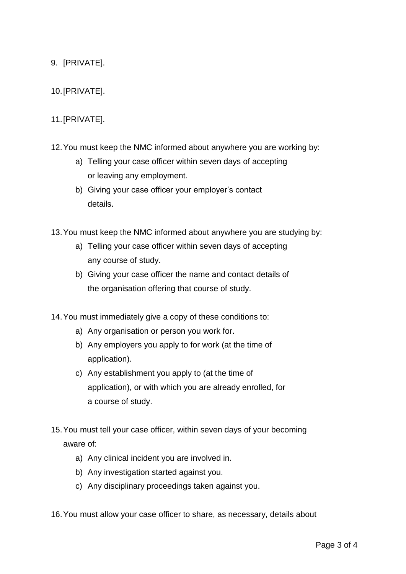- 9. [PRIVATE].
- 10.[PRIVATE].

## 11.[PRIVATE].

- 12.You must keep the NMC informed about anywhere you are working by:
	- a) Telling your case officer within seven days of accepting or leaving any employment.
	- b) Giving your case officer your employer's contact details.

13.You must keep the NMC informed about anywhere you are studying by:

- a) Telling your case officer within seven days of accepting any course of study.
- b) Giving your case officer the name and contact details of the organisation offering that course of study.

14.You must immediately give a copy of these conditions to:

- a) Any organisation or person you work for.
- b) Any employers you apply to for work (at the time of application).
- c) Any establishment you apply to (at the time of application), or with which you are already enrolled, for a course of study.
- 15.You must tell your case officer, within seven days of your becoming aware of:
	- a) Any clinical incident you are involved in.
	- b) Any investigation started against you.
	- c) Any disciplinary proceedings taken against you.
- 16.You must allow your case officer to share, as necessary, details about